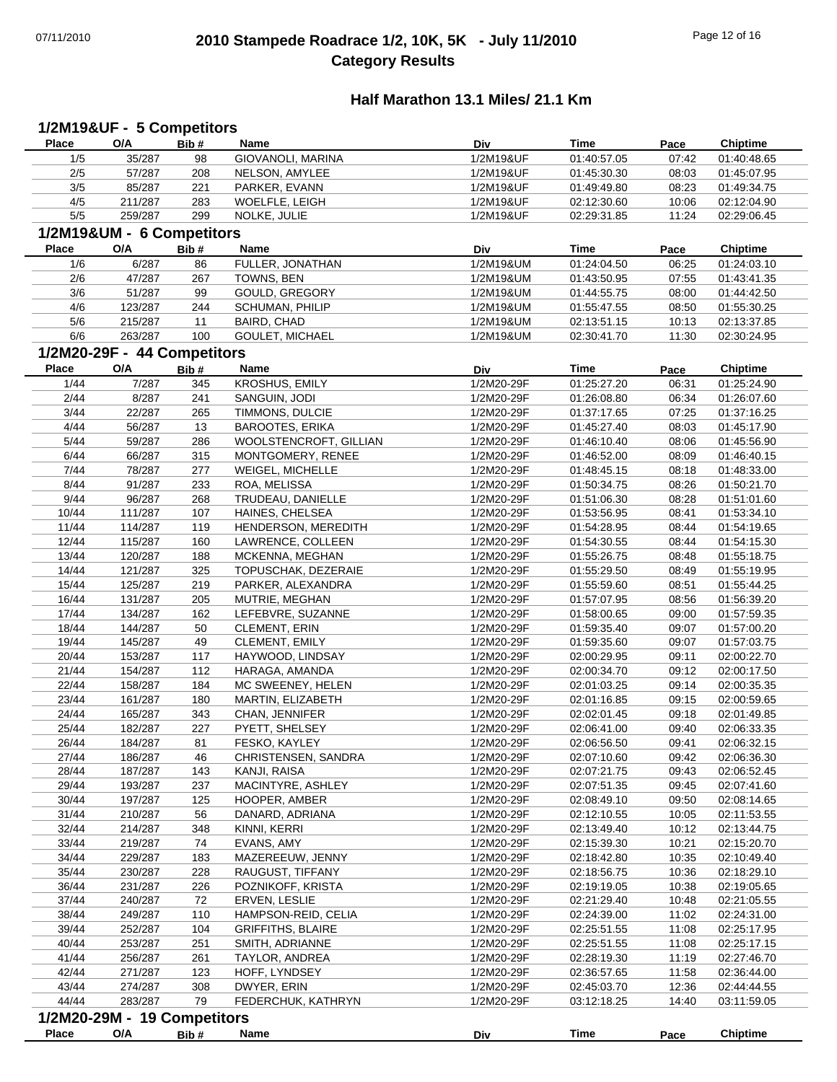# 07/11/2010 **2010 Stampede Roadrace 1/2, 10K, 5K - July 11/2010** Page 12 of 16 **Category Results**

# **Half Marathon 13.1 Miles/ 21.1 Km**

| <b>Place</b>   | O/A                         | 1/2M19&UF - 5 Competitors<br>Bib# | Name                             | Div                      | <b>Time</b>                | Pace           | <b>Chiptime</b>            |
|----------------|-----------------------------|-----------------------------------|----------------------------------|--------------------------|----------------------------|----------------|----------------------------|
| 1/5            | 35/287                      | 98                                | GIOVANOLI, MARINA                | 1/2M19&UF                | 01:40:57.05                | 07:42          | 01:40:48.65                |
| 2/5            | 57/287                      | 208                               | NELSON, AMYLEE                   | 1/2M19&UF                | 01:45:30.30                | 08:03          | 01:45:07.95                |
| 3/5            | 85/287                      | 221                               | PARKER, EVANN                    | 1/2M19&UF                | 01:49:49.80                | 08:23          | 01:49:34.75                |
| 4/5            | 211/287                     | 283                               | WOELFLE, LEIGH                   | 1/2M19&UF                | 02:12:30.60                | 10:06          | 02:12:04.90                |
| $5/5$          | 259/287                     | 299                               | NOLKE, JULIE                     | 1/2M19&UF                | 02:29:31.85                | 11:24          | 02:29:06.45                |
|                | 1/2M19&UM - 6 Competitors   |                                   |                                  |                          |                            |                |                            |
| Place          | O/A                         |                                   | Name                             | Div                      | <b>Time</b>                |                | <b>Chiptime</b>            |
|                |                             | Bib#                              |                                  |                          |                            | Pace           |                            |
| 1/6            | 6/287                       | 86                                | FULLER, JONATHAN                 | 1/2M19&UM                | 01:24:04.50                | 06:25          | 01:24:03.10                |
| 2/6            | 47/287                      | 267                               | TOWNS, BEN                       | 1/2M19&UM                | 01:43:50.95                | 07:55          | 01:43:41.35                |
| 3/6            | 51/287                      | 99                                | GOULD, GREGORY                   | 1/2M19&UM                | 01:44:55.75                | 08:00          | 01:44:42.50                |
| 4/6            | 123/287                     | 244                               | SCHUMAN, PHILIP                  | 1/2M19&UM                | 01:55:47.55                | 08:50          | 01:55:30.25                |
| 5/6            | 215/287                     | 11                                | BAIRD, CHAD                      | 1/2M19&UM                | 02:13:51.15                | 10:13          | 02:13:37.85                |
| 6/6            | 263/287                     | 100                               | GOULET, MICHAEL                  | 1/2M19&UM                | 02:30:41.70                | 11:30          | 02:30:24.95                |
|                | 1/2M20-29F - 44 Competitors |                                   |                                  |                          |                            |                |                            |
| <b>Place</b>   | O/A                         | Bib#                              | Name                             | Div                      | <b>Time</b>                | Pace           | <b>Chiptime</b>            |
| 1/44           | 7/287                       | 345                               | KROSHUS, EMILY                   | 1/2M20-29F               | 01:25:27.20                | 06:31          | 01:25:24.90                |
| 2/44           | 8/287                       | 241                               | SANGUIN, JODI                    | 1/2M20-29F               | 01:26:08.80                | 06:34          | 01:26:07.60                |
| 3/44           | 22/287                      | 265                               | TIMMONS, DULCIE                  | 1/2M20-29F               | 01:37:17.65                | 07:25          | 01:37:16.25                |
| 4/44           | 56/287                      | 13                                | <b>BAROOTES, ERIKA</b>           | 1/2M20-29F               | 01:45:27.40                | 08:03          | 01:45:17.90                |
| 5/44           | 59/287                      | 286                               | WOOLSTENCROFT, GILLIAN           | 1/2M20-29F               | 01:46:10.40                | 08:06          | 01:45:56.90                |
| 6/44           |                             |                                   | MONTGOMERY, RENEE                |                          |                            |                |                            |
|                | 66/287                      | 315                               |                                  | 1/2M20-29F               | 01:46:52.00                | 08:09          | 01:46:40.15                |
| 7/44           | 78/287                      | 277                               | WEIGEL, MICHELLE                 | 1/2M20-29F               | 01:48:45.15                | 08:18          | 01:48:33.00                |
| 8/44           | 91/287                      | 233                               | ROA, MELISSA                     | 1/2M20-29F               | 01:50:34.75                | 08:26          | 01:50:21.70                |
| 9/44           | 96/287                      | 268                               | TRUDEAU, DANIELLE                | 1/2M20-29F               | 01:51:06.30                | 08:28          | 01:51:01.60                |
| 10/44          | 111/287                     | 107                               | HAINES, CHELSEA                  | 1/2M20-29F               | 01:53:56.95                | 08:41          | 01:53:34.10                |
| 11/44          | 114/287                     | 119                               | HENDERSON, MEREDITH              | 1/2M20-29F               | 01:54:28.95                | 08:44          | 01:54:19.65                |
| 12/44          | 115/287                     | 160                               | LAWRENCE, COLLEEN                | 1/2M20-29F               | 01:54:30.55                | 08:44          | 01:54:15.30                |
| 13/44          | 120/287                     | 188                               | MCKENNA, MEGHAN                  | 1/2M20-29F               | 01:55:26.75                | 08:48          | 01:55:18.75                |
| 14/44          | 121/287                     | 325                               | TOPUSCHAK, DEZERAIE              | 1/2M20-29F               | 01:55:29.50                | 08:49          | 01:55:19.95                |
| 15/44          | 125/287                     | 219                               | PARKER, ALEXANDRA                | 1/2M20-29F               | 01:55:59.60                | 08:51          | 01:55:44.25                |
| 16/44          | 131/287                     | 205                               | MUTRIE, MEGHAN                   | 1/2M20-29F               | 01:57:07.95                | 08:56          | 01:56:39.20                |
| 17/44          | 134/287                     | 162                               | LEFEBVRE, SUZANNE                | 1/2M20-29F               | 01:58:00.65                | 09:00          | 01:57:59.35                |
| 18/44          | 144/287                     | 50                                | CLEMENT, ERIN                    | 1/2M20-29F               | 01:59:35.40                | 09:07          | 01:57:00.20                |
| 19/44          | 145/287                     | 49                                | CLEMENT, EMILY                   | 1/2M20-29F               | 01:59:35.60                | 09:07          | 01:57:03.75                |
| 20/44          | 153/287                     | 117                               | HAYWOOD, LINDSAY                 | 1/2M20-29F               | 02:00:29.95                | 09:11          | 02:00:22.70                |
| 21/44          | 154/287                     | 112                               | HARAGA, AMANDA                   | 1/2M20-29F               | 02:00:34.70                | 09:12          | 02:00:17.50                |
| 22/44          | 158/287                     | 184                               | MC SWEENEY, HELEN                | 1/2M20-29F               | 02:01:03.25                | 09:14          | 02:00:35.35                |
| 23/44          | 161/287                     | 180                               | MARTIN, ELIZABETH                | 1/2M20-29F               | 02:01:16.85                | 09:15          | 02:00:59.65                |
|                |                             | 343                               |                                  |                          |                            |                |                            |
| 24/44<br>25/44 | 165/287<br>182/287          | 227                               | CHAN, JENNIFER<br>PYETT, SHELSEY | 1/2M20-29F<br>1/2M20-29F | 02:02:01.45<br>02:06:41.00 | 09:18<br>09:40 | 02:01:49.85<br>02:06:33.35 |
|                |                             |                                   |                                  |                          |                            |                |                            |
| 26/44          | 184/287                     | 81                                | FESKO, KAYLEY                    | 1/2M20-29F               | 02:06:56.50                | 09:41          | 02:06:32.15                |
| 27/44          | 186/287                     | 46                                | CHRISTENSEN, SANDRA              | 1/2M20-29F               | 02:07:10.60                | 09:42          | 02:06:36.30                |
| 28/44          | 187/287                     | 143                               | KANJI, RAISA                     | 1/2M20-29F               | 02:07:21.75                | 09:43          | 02:06:52.45                |
| 29/44          | 193/287                     | 237                               | MACINTYRE, ASHLEY                | 1/2M20-29F               | 02:07:51.35                | 09:45          | 02:07:41.60                |
| 30/44          | 197/287                     | 125                               | HOOPER, AMBER                    | 1/2M20-29F               | 02:08:49.10                | 09:50          | 02:08:14.65                |
| 31/44          | 210/287                     | 56                                | DANARD, ADRIANA                  | 1/2M20-29F               | 02:12:10.55                | 10:05          | 02:11:53.55                |
| 32/44          | 214/287                     | 348                               | KINNI, KERRI                     | 1/2M20-29F               | 02:13:49.40                | 10:12          | 02:13:44.75                |
| 33/44          | 219/287                     | 74                                | EVANS, AMY                       | 1/2M20-29F               | 02:15:39.30                | 10:21          | 02:15:20.70                |
| 34/44          | 229/287                     | 183                               | MAZEREEUW, JENNY                 | 1/2M20-29F               | 02:18:42.80                | 10:35          | 02:10:49.40                |
| 35/44          | 230/287                     | 228                               | RAUGUST, TIFFANY                 | 1/2M20-29F               | 02:18:56.75                | 10:36          | 02:18:29.10                |
| 36/44          | 231/287                     | 226                               | POZNIKOFF, KRISTA                | 1/2M20-29F               | 02:19:19.05                | 10:38          | 02:19:05.65                |
| 37/44          | 240/287                     | 72                                | ERVEN, LESLIE                    | 1/2M20-29F               | 02:21:29.40                | 10:48          | 02:21:05.55                |
| 38/44          | 249/287                     | 110                               | HAMPSON-REID, CELIA              | 1/2M20-29F               | 02:24:39.00                | 11:02          | 02:24:31.00                |
| 39/44          | 252/287                     | 104                               | <b>GRIFFITHS, BLAIRE</b>         | 1/2M20-29F               | 02:25:51.55                | 11:08          | 02:25:17.95                |
| 40/44          | 253/287                     | 251                               | SMITH, ADRIANNE                  | 1/2M20-29F               | 02:25:51.55                | 11:08          | 02:25:17.15                |
| 41/44          | 256/287                     | 261                               | TAYLOR, ANDREA                   | 1/2M20-29F               | 02:28:19.30                | 11:19          | 02:27:46.70                |
|                |                             |                                   |                                  |                          |                            |                |                            |
| 42/44          | 271/287                     | 123                               | HOFF, LYNDSEY                    | 1/2M20-29F               | 02:36:57.65                | 11:58          | 02:36:44.00                |
| 43/44          | 274/287                     | 308                               | DWYER, ERIN                      | 1/2M20-29F               | 02:45:03.70                | 12:36          | 02:44:44.55                |
| 44/44          | 283/287                     | 79                                | FEDERCHUK, KATHRYN               | 1/2M20-29F               | 03:12:18.25                | 14:40          | 03:11:59.05                |
|                | 1/2M20-29M - 19 Competitors |                                   |                                  |                          |                            |                |                            |
|                |                             |                                   |                                  |                          | <b>Time</b>                |                |                            |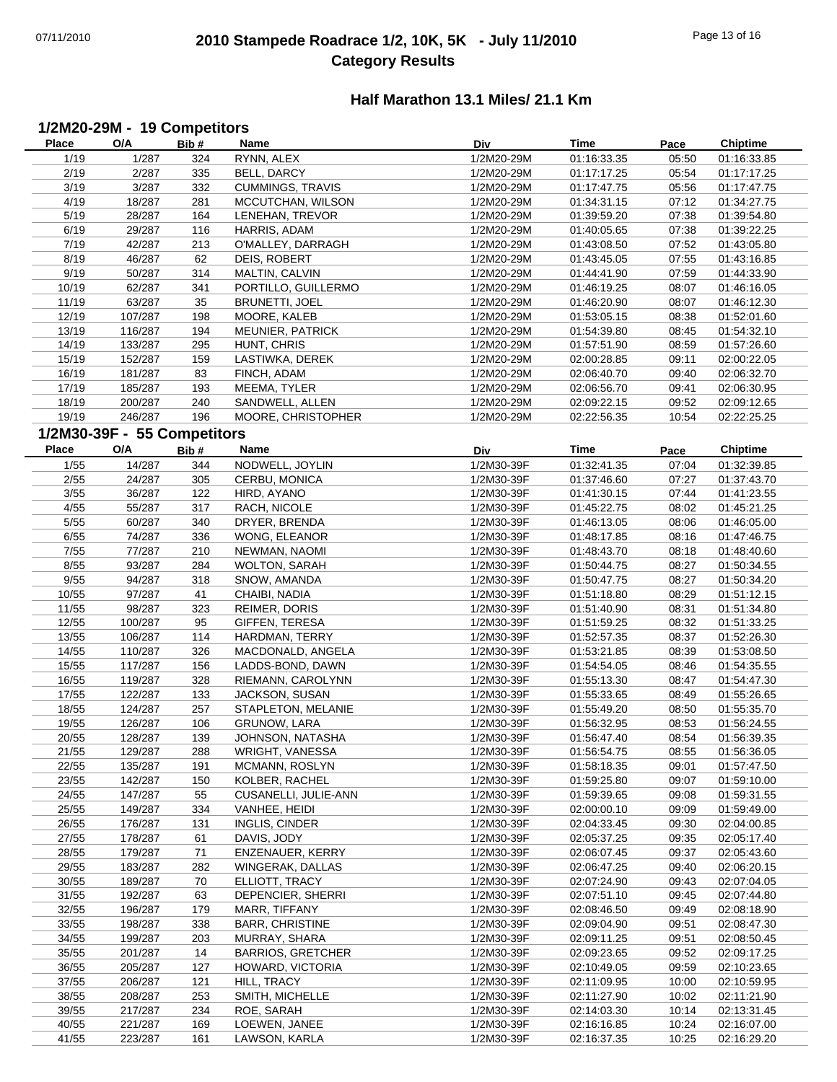# 07/11/2010 **2010 Stampede Roadrace 1/2, 10K, 5K - July 11/2010** Page 13 of 16 **Category Results**

## **Half Marathon 13.1 Miles/ 21.1 Km**

## **1/2M20-29M - 19 Competitors**

| <b>Place</b> | O/A                         | Bib# | <b>Name</b>              | Div        | Time        | Pace  | <b>Chiptime</b> |
|--------------|-----------------------------|------|--------------------------|------------|-------------|-------|-----------------|
| 1/19         | 1/287                       | 324  | RYNN, ALEX               | 1/2M20-29M | 01:16:33.35 | 05:50 | 01:16:33.85     |
| 2/19         | 2/287                       | 335  | BELL, DARCY              | 1/2M20-29M | 01:17:17.25 | 05:54 | 01:17:17.25     |
| 3/19         | 3/287                       | 332  | <b>CUMMINGS, TRAVIS</b>  | 1/2M20-29M | 01:17:47.75 | 05:56 | 01:17:47.75     |
| 4/19         | 18/287                      | 281  | MCCUTCHAN, WILSON        | 1/2M20-29M | 01:34:31.15 | 07:12 | 01:34:27.75     |
| 5/19         | 28/287                      | 164  | LENEHAN, TREVOR          | 1/2M20-29M | 01:39:59.20 | 07:38 | 01:39:54.80     |
| 6/19         | 29/287                      | 116  | HARRIS, ADAM             | 1/2M20-29M | 01:40:05.65 | 07:38 | 01:39:22.25     |
| 7/19         | 42/287                      | 213  | O'MALLEY, DARRAGH        | 1/2M20-29M | 01:43:08.50 | 07:52 | 01:43:05.80     |
|              | 46/287                      | 62   |                          | 1/2M20-29M |             |       |                 |
| 8/19         |                             |      | DEIS, ROBERT             |            | 01:43:45.05 | 07:55 | 01:43:16.85     |
| 9/19         | 50/287                      | 314  | MALTIN, CALVIN           | 1/2M20-29M | 01:44:41.90 | 07:59 | 01:44:33.90     |
| 10/19        | 62/287                      | 341  | PORTILLO, GUILLERMO      | 1/2M20-29M | 01:46:19.25 | 08:07 | 01:46:16.05     |
| 11/19        | 63/287                      | 35   | BRUNETTI, JOEL           | 1/2M20-29M | 01:46:20.90 | 08:07 | 01:46:12.30     |
| 12/19        | 107/287                     | 198  | MOORE, KALEB             | 1/2M20-29M | 01:53:05.15 | 08:38 | 01:52:01.60     |
| 13/19        | 116/287                     | 194  | MEUNIER, PATRICK         | 1/2M20-29M | 01:54:39.80 | 08:45 | 01:54:32.10     |
| 14/19        | 133/287                     | 295  | HUNT, CHRIS              | 1/2M20-29M | 01:57:51.90 | 08:59 | 01:57:26.60     |
| 15/19        | 152/287                     | 159  | LASTIWKA, DEREK          | 1/2M20-29M | 02:00:28.85 | 09:11 | 02:00:22.05     |
| 16/19        | 181/287                     | 83   | FINCH, ADAM              | 1/2M20-29M | 02:06:40.70 | 09:40 | 02:06:32.70     |
| 17/19        | 185/287                     | 193  | MEEMA, TYLER             | 1/2M20-29M | 02:06:56.70 | 09:41 | 02:06:30.95     |
| 18/19        | 200/287                     | 240  | SANDWELL, ALLEN          | 1/2M20-29M | 02:09:22.15 | 09:52 | 02:09:12.65     |
| 19/19        | 246/287                     | 196  | MOORE, CHRISTOPHER       | 1/2M20-29M | 02:22:56.35 | 10:54 | 02:22:25.25     |
|              | 1/2M30-39F - 55 Competitors |      |                          |            |             |       |                 |
|              |                             |      |                          |            |             |       |                 |
| Place        | O/A                         | Bib# | Name                     | Div        | Time        | Pace  | <b>Chiptime</b> |
| 1/55         | 14/287                      | 344  | NODWELL, JOYLIN          | 1/2M30-39F | 01:32:41.35 | 07:04 | 01:32:39.85     |
| 2/55         | 24/287                      | 305  | CERBU, MONICA            | 1/2M30-39F | 01:37:46.60 | 07:27 | 01:37:43.70     |
| 3/55         | 36/287                      | 122  | HIRD, AYANO              | 1/2M30-39F | 01:41:30.15 | 07:44 | 01:41:23.55     |
| 4/55         | 55/287                      | 317  | RACH, NICOLE             | 1/2M30-39F | 01:45:22.75 | 08:02 | 01:45:21.25     |
| 5/55         | 60/287                      | 340  | DRYER, BRENDA            | 1/2M30-39F | 01:46:13.05 | 08:06 | 01:46:05.00     |
| 6/55         | 74/287                      | 336  | WONG, ELEANOR            | 1/2M30-39F | 01:48:17.85 | 08:16 | 01:47:46.75     |
| 7/55         | 77/287                      | 210  | NEWMAN, NAOMI            | 1/2M30-39F | 01:48:43.70 | 08:18 | 01:48:40.60     |
| 8/55         | 93/287                      | 284  | <b>WOLTON, SARAH</b>     | 1/2M30-39F | 01:50:44.75 | 08:27 | 01:50:34.55     |
| 9/55         | 94/287                      | 318  | SNOW, AMANDA             | 1/2M30-39F | 01:50:47.75 | 08:27 | 01:50:34.20     |
| 10/55        | 97/287                      | 41   | CHAIBI, NADIA            | 1/2M30-39F | 01:51:18.80 | 08:29 | 01:51:12.15     |
| 11/55        | 98/287                      | 323  | REIMER, DORIS            | 1/2M30-39F | 01:51:40.90 | 08:31 | 01:51:34.80     |
| 12/55        | 100/287                     | 95   | GIFFEN, TERESA           | 1/2M30-39F | 01:51:59.25 | 08:32 | 01:51:33.25     |
|              |                             |      |                          |            |             |       |                 |
| 13/55        | 106/287                     | 114  | HARDMAN, TERRY           | 1/2M30-39F | 01:52:57.35 | 08:37 | 01:52:26.30     |
| 14/55        | 110/287                     | 326  | MACDONALD, ANGELA        | 1/2M30-39F | 01:53:21.85 | 08:39 | 01:53:08.50     |
| 15/55        | 117/287                     | 156  | LADDS-BOND, DAWN         | 1/2M30-39F | 01:54:54.05 | 08:46 | 01:54:35.55     |
| 16/55        | 119/287                     | 328  | RIEMANN, CAROLYNN        | 1/2M30-39F | 01:55:13.30 | 08:47 | 01:54:47.30     |
| 17/55        | 122/287                     | 133  | JACKSON, SUSAN           | 1/2M30-39F | 01:55:33.65 | 08:49 | 01:55:26.65     |
| 18/55        | 124/287                     | 257  | STAPLETON, MELANIE       | 1/2M30-39F | 01:55:49.20 | 08:50 | 01:55:35.70     |
| 19/55        | 126/287                     | 106  | <b>GRUNOW, LARA</b>      | 1/2M30-39F | 01:56:32.95 | 08:53 | 01:56:24.55     |
| 20/55        | 128/287                     | 139  | JOHNSON, NATASHA         | 1/2M30-39F | 01:56:47.40 | 08:54 | 01:56:39.35     |
| 21/55        | 129/287                     | 288  | WRIGHT, VANESSA          | 1/2M30-39F | 01.56.54.75 | 08.55 | 01.56.36.05     |
| 22/55        | 135/287                     | 191  | MCMANN, ROSLYN           | 1/2M30-39F | 01:58:18.35 | 09:01 | 01:57:47.50     |
| 23/55        | 142/287                     | 150  | KOLBER, RACHEL           | 1/2M30-39F | 01:59:25.80 | 09:07 | 01:59:10.00     |
| 24/55        | 147/287                     | 55   | CUSANELLI, JULIE-ANN     | 1/2M30-39F | 01:59:39.65 | 09:08 | 01:59:31.55     |
| 25/55        | 149/287                     | 334  | VANHEE, HEIDI            | 1/2M30-39F | 02:00:00.10 | 09:09 | 01:59:49.00     |
| 26/55        | 176/287                     | 131  | INGLIS, CINDER           | 1/2M30-39F | 02:04:33.45 | 09:30 | 02:04:00.85     |
|              |                             |      |                          |            |             |       |                 |
| 27/55        | 178/287                     | 61   | DAVIS, JODY              | 1/2M30-39F | 02:05:37.25 | 09:35 | 02:05:17.40     |
| 28/55        | 179/287                     | 71   | ENZENAUER, KERRY         | 1/2M30-39F | 02:06:07.45 | 09:37 | 02:05:43.60     |
| 29/55        | 183/287                     | 282  | WINGERAK, DALLAS         | 1/2M30-39F | 02:06:47.25 | 09:40 | 02:06:20.15     |
| 30/55        | 189/287                     | 70   | ELLIOTT, TRACY           | 1/2M30-39F | 02:07:24.90 | 09:43 | 02:07:04.05     |
| 31/55        | 192/287                     | 63   | DEPENCIER, SHERRI        | 1/2M30-39F | 02:07:51.10 | 09:45 | 02:07:44.80     |
| 32/55        | 196/287                     | 179  | MARR, TIFFANY            | 1/2M30-39F | 02:08:46.50 | 09:49 | 02:08:18.90     |
| 33/55        | 198/287                     | 338  | <b>BARR, CHRISTINE</b>   | 1/2M30-39F | 02:09:04.90 | 09:51 | 02:08:47.30     |
| 34/55        | 199/287                     | 203  | MURRAY, SHARA            | 1/2M30-39F | 02:09:11.25 | 09:51 | 02:08:50.45     |
| 35/55        | 201/287                     | 14   | <b>BARRIOS, GRETCHER</b> | 1/2M30-39F | 02:09:23.65 | 09:52 | 02:09:17.25     |
| 36/55        | 205/287                     | 127  | HOWARD, VICTORIA         | 1/2M30-39F | 02:10:49.05 | 09:59 | 02:10:23.65     |
| 37/55        | 206/287                     | 121  | HILL, TRACY              | 1/2M30-39F | 02:11:09.95 | 10:00 | 02:10:59.95     |
| 38/55        | 208/287                     | 253  | SMITH, MICHELLE          | 1/2M30-39F | 02:11:27.90 | 10:02 | 02:11:21.90     |
| 39/55        | 217/287                     | 234  | ROE, SARAH               | 1/2M30-39F | 02:14:03.30 | 10:14 | 02:13:31.45     |
|              |                             |      |                          |            |             |       |                 |
| 40/55        | 221/287                     | 169  | LOEWEN, JANEE            | 1/2M30-39F | 02:16:16.85 | 10:24 | 02:16:07.00     |
| 41/55        | 223/287                     | 161  | LAWSON, KARLA            | 1/2M30-39F | 02:16:37.35 | 10:25 | 02:16:29.20     |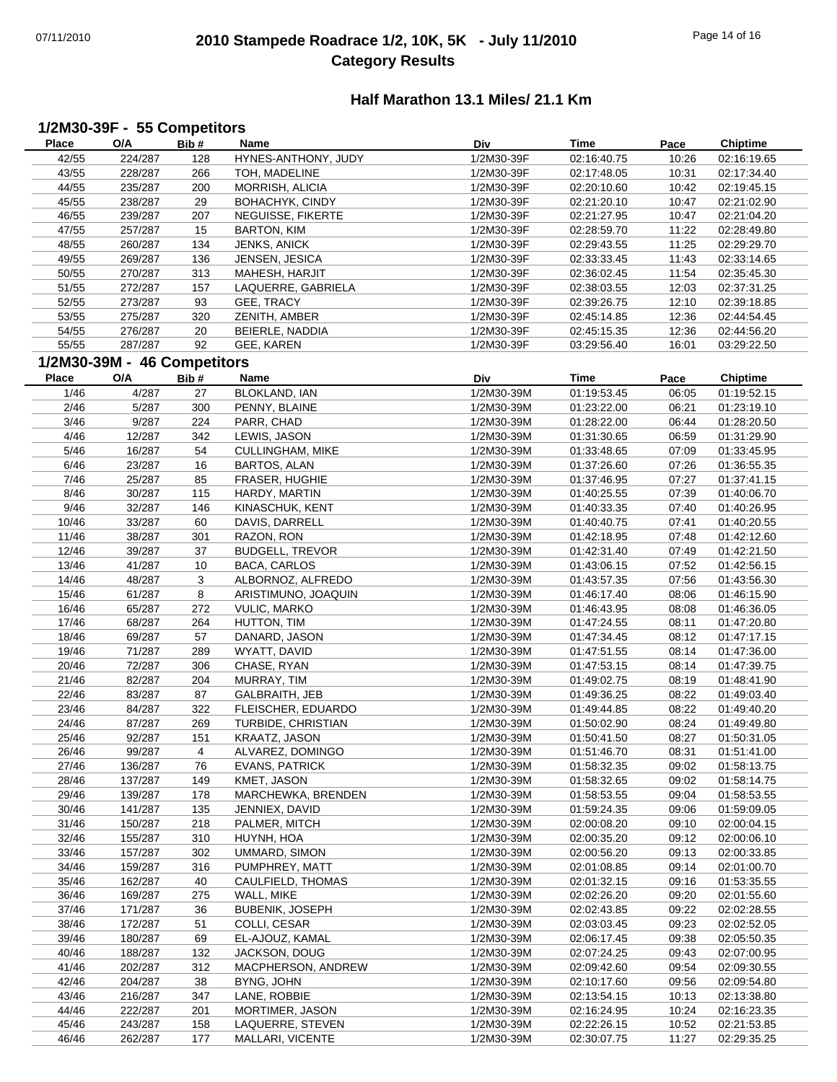# 07/11/2010 **2010 Stampede Roadrace 1/2, 10K, 5K - July 11/2010** Page 14 of 16 **Category Results**

## **Half Marathon 13.1 Miles/ 21.1 Km**

## **1/2M30-39F - 55 Competitors**

| Place        | O/A                         | Bib#           | Name                    | <b>Div</b> | Time        | Pace  | Chiptime        |
|--------------|-----------------------------|----------------|-------------------------|------------|-------------|-------|-----------------|
| 42/55        | 224/287                     | 128            | HYNES-ANTHONY, JUDY     | 1/2M30-39F | 02:16:40.75 | 10:26 | 02:16:19.65     |
| 43/55        | 228/287                     | 266            | TOH, MADELINE           | 1/2M30-39F | 02:17:48.05 | 10:31 | 02:17:34.40     |
| 44/55        | 235/287                     | 200            | MORRISH, ALICIA         | 1/2M30-39F | 02:20:10.60 | 10:42 | 02:19:45.15     |
| 45/55        | 238/287                     | 29             | BOHACHYK, CINDY         | 1/2M30-39F | 02:21:20.10 | 10:47 | 02:21:02.90     |
| 46/55        | 239/287                     | 207            | NEGUISSE, FIKERTE       | 1/2M30-39F | 02:21:27.95 | 10:47 | 02:21:04.20     |
|              |                             |                |                         |            |             |       |                 |
| 47/55        | 257/287                     | 15             | <b>BARTON, KIM</b>      | 1/2M30-39F | 02:28:59.70 | 11:22 | 02:28:49.80     |
| 48/55        | 260/287                     | 134            | JENKS, ANICK            | 1/2M30-39F | 02:29:43.55 | 11:25 | 02:29:29.70     |
| 49/55        | 269/287                     | 136            | JENSEN, JESICA          | 1/2M30-39F | 02:33:33.45 | 11:43 | 02:33:14.65     |
| 50/55        | 270/287                     | 313            | MAHESH, HARJIT          | 1/2M30-39F | 02:36:02.45 | 11:54 | 02:35:45.30     |
| 51/55        | 272/287                     | 157            | LAQUERRE, GABRIELA      | 1/2M30-39F | 02:38:03.55 | 12:03 | 02:37:31.25     |
| 52/55        | 273/287                     | 93             | GEE, TRACY              | 1/2M30-39F | 02:39:26.75 | 12:10 | 02:39:18.85     |
| 53/55        | 275/287                     | 320            | ZENITH, AMBER           | 1/2M30-39F | 02:45:14.85 | 12:36 | 02:44:54.45     |
| 54/55        | 276/287                     | 20             | BEIERLE, NADDIA         | 1/2M30-39F | 02:45:15.35 | 12:36 | 02:44:56.20     |
| 55/55        | 287/287                     | 92             | GEE, KAREN              | 1/2M30-39F | 03:29:56.40 | 16:01 | 03:29:22.50     |
|              | 1/2M30-39M - 46 Competitors |                |                         |            |             |       |                 |
|              |                             |                |                         |            |             |       |                 |
| <b>Place</b> | O/A                         | Bib#           | Name                    | Div        | <b>Time</b> | Pace  | <b>Chiptime</b> |
| 1/46         | 4/287                       | 27             | BLOKLAND, IAN           | 1/2M30-39M | 01:19:53.45 | 06:05 | 01:19:52.15     |
| 2/46         | 5/287                       | 300            | PENNY, BLAINE           | 1/2M30-39M | 01:23:22.00 | 06:21 | 01:23:19.10     |
| 3/46         | 9/287                       | 224            | PARR, CHAD              | 1/2M30-39M | 01:28:22.00 | 06:44 | 01:28:20.50     |
| 4/46         | 12/287                      | 342            | LEWIS, JASON            | 1/2M30-39M | 01:31:30.65 | 06:59 | 01:31:29.90     |
| 5/46         | 16/287                      | 54             | <b>CULLINGHAM, MIKE</b> | 1/2M30-39M | 01:33:48.65 | 07:09 | 01:33:45.95     |
| 6/46         | 23/287                      | 16             | BARTOS, ALAN            | 1/2M30-39M | 01:37:26.60 | 07:26 | 01:36:55.35     |
| 7/46         | 25/287                      | 85             | FRASER, HUGHIE          | 1/2M30-39M | 01:37:46.95 | 07:27 | 01:37:41.15     |
| 8/46         | 30/287                      | 115            | HARDY, MARTIN           | 1/2M30-39M | 01:40:25.55 | 07:39 | 01:40:06.70     |
| 9/46         | 32/287                      | 146            | KINASCHUK, KENT         | 1/2M30-39M | 01:40:33.35 | 07:40 | 01:40:26.95     |
| 10/46        | 33/287                      | 60             | DAVIS, DARRELL          | 1/2M30-39M | 01:40:40.75 | 07:41 | 01:40:20.55     |
|              |                             |                |                         |            |             |       |                 |
| 11/46        | 38/287                      | 301            | RAZON, RON              | 1/2M30-39M | 01:42:18.95 | 07:48 | 01:42:12.60     |
| 12/46        | 39/287                      | 37             | <b>BUDGELL, TREVOR</b>  | 1/2M30-39M | 01:42:31.40 | 07:49 | 01:42:21.50     |
| 13/46        | 41/287                      | 10             | <b>BACA, CARLOS</b>     | 1/2M30-39M | 01:43:06.15 | 07:52 | 01:42:56.15     |
| 14/46        | 48/287                      | 3              | ALBORNOZ, ALFREDO       | 1/2M30-39M | 01:43:57.35 | 07:56 | 01:43:56.30     |
| 15/46        | 61/287                      | 8              | ARISTIMUNO, JOAQUIN     | 1/2M30-39M | 01:46:17.40 | 08:06 | 01:46:15.90     |
| 16/46        | 65/287                      | 272            | <b>VULIC, MARKO</b>     | 1/2M30-39M | 01:46:43.95 | 08:08 | 01:46:36.05     |
| 17/46        | 68/287                      | 264            | HUTTON, TIM             | 1/2M30-39M | 01:47:24.55 | 08:11 | 01:47:20.80     |
| 18/46        | 69/287                      | 57             | DANARD, JASON           | 1/2M30-39M | 01:47:34.45 | 08:12 | 01:47:17.15     |
| 19/46        | 71/287                      | 289            | WYATT, DAVID            | 1/2M30-39M | 01:47:51.55 | 08:14 | 01:47:36.00     |
| 20/46        | 72/287                      | 306            | CHASE, RYAN             | 1/2M30-39M | 01:47:53.15 | 08:14 | 01:47:39.75     |
| 21/46        | 82/287                      | 204            | MURRAY, TIM             | 1/2M30-39M | 01:49:02.75 | 08:19 | 01:48:41.90     |
| 22/46        | 83/287                      | 87             | GALBRAITH, JEB          | 1/2M30-39M | 01:49:36.25 | 08:22 | 01:49:03.40     |
| 23/46        | 84/287                      | 322            | FLEISCHER, EDUARDO      | 1/2M30-39M | 01:49:44.85 | 08:22 | 01:49:40.20     |
| 24/46        | 87/287                      | 269            | TURBIDE, CHRISTIAN      | 1/2M30-39M | 01:50:02.90 | 08:24 | 01:49:49.80     |
| 25/46        | 92/287                      | 151            | KRAATZ, JASON           | 1/2M30-39M | 01:50:41.50 | 08:27 | 01:50:31.05     |
| 26/46        | 99/287                      | $\overline{4}$ | ALVAREZ, DOMINGO        | 1/2M30-39M | 01:51:46.70 | 08:31 | 01:51:41.00     |
|              |                             |                |                         |            |             |       |                 |
| 27/46        | 136/287                     | 76             | <b>EVANS, PATRICK</b>   | 1/2M30-39M | 01:58:32.35 | 09:02 | 01:58:13.75     |
| 28/46        | 137/287                     | 149            | KMET, JASON             | 1/2M30-39M | 01:58:32.65 | 09:02 | 01:58:14.75     |
| 29/46        | 139/287                     | 178            | MARCHEWKA, BRENDEN      | 1/2M30-39M | 01:58:53.55 | 09:04 | 01:58:53.55     |
| 30/46        | 141/287                     | 135            | JENNIEX, DAVID          | 1/2M30-39M | 01:59:24.35 | 09:06 | 01:59:09.05     |
| 31/46        | 150/287                     | 218            | PALMER, MITCH           | 1/2M30-39M | 02:00:08.20 | 09:10 | 02:00:04.15     |
| 32/46        | 155/287                     | 310            | HUYNH, HOA              | 1/2M30-39M | 02:00:35.20 | 09:12 | 02:00:06.10     |
| 33/46        | 157/287                     | 302            | UMMARD, SIMON           | 1/2M30-39M | 02:00:56.20 | 09:13 | 02:00:33.85     |
| 34/46        | 159/287                     | 316            | PUMPHREY, MATT          | 1/2M30-39M | 02:01:08.85 | 09:14 | 02:01:00.70     |
| 35/46        | 162/287                     | 40             | CAULFIELD, THOMAS       | 1/2M30-39M | 02:01:32.15 | 09:16 | 01:53:35.55     |
| 36/46        | 169/287                     | 275            | WALL, MIKE              | 1/2M30-39M | 02:02:26.20 | 09:20 | 02:01:55.60     |
| 37/46        | 171/287                     | 36             | <b>BUBENIK, JOSEPH</b>  | 1/2M30-39M | 02:02:43.85 | 09:22 | 02:02:28.55     |
| 38/46        | 172/287                     | 51             | COLLI, CESAR            | 1/2M30-39M | 02:03:03.45 | 09:23 | 02:02:52.05     |
| 39/46        | 180/287                     | 69             | EL-AJOUZ, KAMAL         | 1/2M30-39M | 02:06:17.45 | 09:38 | 02:05:50.35     |
| 40/46        | 188/287                     | 132            | JACKSON, DOUG           | 1/2M30-39M | 02:07:24.25 | 09:43 | 02:07:00.95     |
| 41/46        | 202/287                     | 312            | MACPHERSON, ANDREW      | 1/2M30-39M | 02:09:42.60 | 09:54 | 02:09:30.55     |
| 42/46        | 204/287                     | 38             | BYNG, JOHN              | 1/2M30-39M | 02:10:17.60 | 09:56 | 02:09:54.80     |
|              |                             |                |                         |            |             |       |                 |
| 43/46        | 216/287                     | 347            | LANE, ROBBIE            | 1/2M30-39M | 02:13:54.15 | 10:13 | 02:13:38.80     |
| 44/46        | 222/287                     | 201            | MORTIMER, JASON         | 1/2M30-39M | 02:16:24.95 | 10:24 | 02:16:23.35     |
| 45/46        | 243/287                     | 158            | LAQUERRE, STEVEN        | 1/2M30-39M | 02:22:26.15 | 10:52 | 02:21:53.85     |
| 46/46        | 262/287                     | 177            | MALLARI, VICENTE        | 1/2M30-39M | 02:30:07.75 | 11:27 | 02:29:35.25     |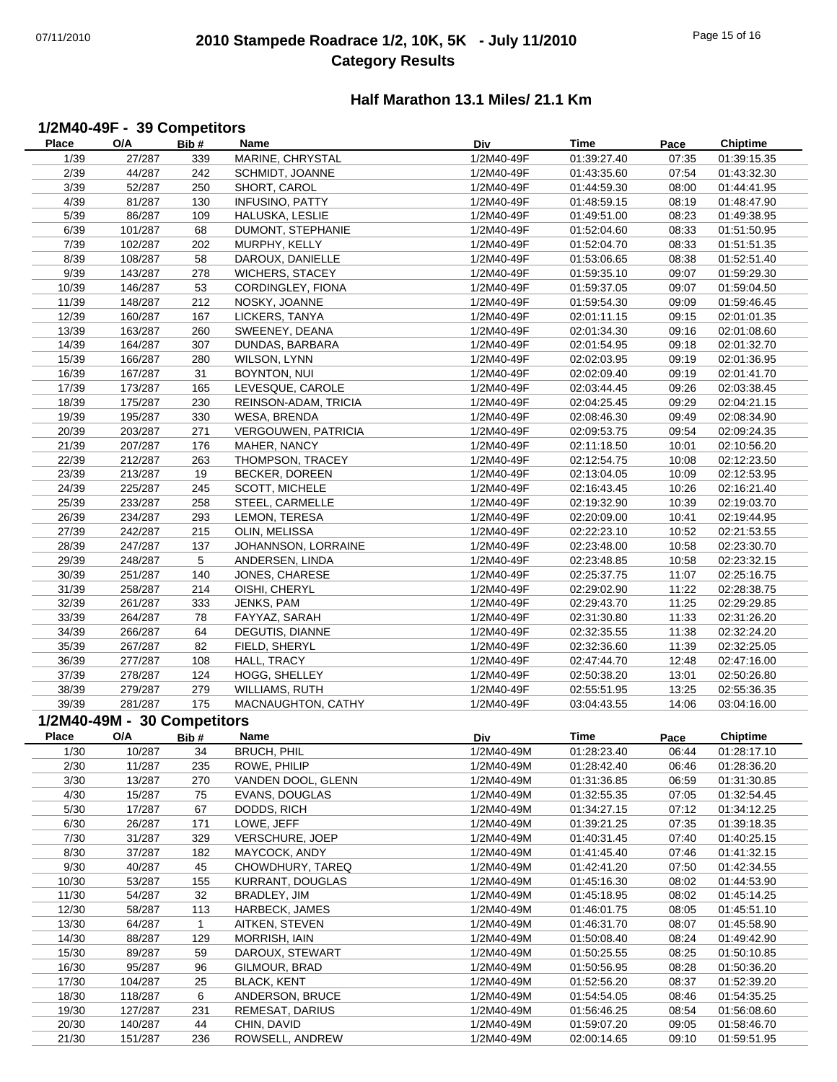# 07/11/2010 **2010 Stampede Roadrace 1/2, 10K, 5K - July 11/2010** Page 15 of 16 **Category Results**

## **Half Marathon 13.1 Miles/ 21.1 Km**

#### **1/2M40-49F - 39 Competitors**

| <b>Place</b> | O/A                         | Bib#            | Name                       | Div        | <b>Time</b> | Pace  | <b>Chiptime</b> |
|--------------|-----------------------------|-----------------|----------------------------|------------|-------------|-------|-----------------|
| 1/39         | 27/287                      | 339             | MARINE, CHRYSTAL           | 1/2M40-49F | 01:39:27.40 | 07:35 | 01:39:15.35     |
| 2/39         | 44/287                      | 242             | SCHMIDT, JOANNE            | 1/2M40-49F | 01:43:35.60 | 07:54 | 01:43:32.30     |
| 3/39         | 52/287                      | 250             | SHORT, CAROL               | 1/2M40-49F | 01:44:59.30 | 08:00 | 01:44:41.95     |
| 4/39         | 81/287                      | 130             | <b>INFUSINO, PATTY</b>     | 1/2M40-49F | 01:48:59.15 | 08:19 | 01:48:47.90     |
| 5/39         | 86/287                      | 109             | HALUSKA, LESLIE            | 1/2M40-49F | 01:49:51.00 | 08:23 | 01:49:38.95     |
| 6/39         | 101/287                     | 68              | DUMONT, STEPHANIE          | 1/2M40-49F | 01:52:04.60 | 08:33 | 01:51:50.95     |
| 7/39         | 102/287                     | 202             | MURPHY, KELLY              | 1/2M40-49F | 01:52:04.70 | 08:33 | 01:51:51.35     |
| 8/39         | 108/287                     | 58              | DAROUX, DANIELLE           | 1/2M40-49F | 01:53:06.65 | 08:38 | 01:52:51.40     |
| 9/39         | 143/287                     | 278             | <b>WICHERS, STACEY</b>     | 1/2M40-49F | 01:59:35.10 | 09:07 | 01:59:29.30     |
| 10/39        | 146/287                     | 53              | CORDINGLEY, FIONA          | 1/2M40-49F | 01:59:37.05 | 09:07 | 01:59:04.50     |
| 11/39        | 148/287                     | 212             | NOSKY, JOANNE              | 1/2M40-49F | 01:59:54.30 | 09:09 | 01:59:46.45     |
| 12/39        | 160/287                     | 167             | LICKERS, TANYA             | 1/2M40-49F | 02:01:11.15 | 09:15 | 02:01:01.35     |
| 13/39        | 163/287                     | 260             | SWEENEY, DEANA             | 1/2M40-49F | 02:01:34.30 | 09:16 | 02:01:08.60     |
| 14/39        | 164/287                     | 307             | DUNDAS, BARBARA            | 1/2M40-49F | 02:01:54.95 | 09:18 | 02:01:32.70     |
|              |                             |                 |                            |            |             |       |                 |
| 15/39        | 166/287                     | 280             | WILSON, LYNN               | 1/2M40-49F | 02:02:03.95 | 09:19 | 02:01:36.95     |
| 16/39        | 167/287                     | 31              | BOYNTON, NUI               | 1/2M40-49F | 02:02:09.40 | 09:19 | 02:01:41.70     |
| 17/39        | 173/287                     | 165             | LEVESQUE, CAROLE           | 1/2M40-49F | 02:03:44.45 | 09:26 | 02:03:38.45     |
| 18/39        | 175/287                     | 230             | REINSON-ADAM, TRICIA       | 1/2M40-49F | 02:04:25.45 | 09:29 | 02:04:21.15     |
| 19/39        | 195/287                     | 330             | WESA, BRENDA               | 1/2M40-49F | 02:08:46.30 | 09:49 | 02:08:34.90     |
| 20/39        | 203/287                     | 271             | <b>VERGOUWEN, PATRICIA</b> | 1/2M40-49F | 02:09:53.75 | 09:54 | 02:09:24.35     |
| 21/39        | 207/287                     | 176             | MAHER, NANCY               | 1/2M40-49F | 02:11:18.50 | 10:01 | 02:10:56.20     |
| 22/39        | 212/287                     | 263             | THOMPSON, TRACEY           | 1/2M40-49F | 02:12:54.75 | 10:08 | 02:12:23.50     |
| 23/39        | 213/287                     | 19              | BECKER, DOREEN             | 1/2M40-49F | 02:13:04.05 | 10:09 | 02:12:53.95     |
| 24/39        | 225/287                     | 245             | SCOTT, MICHELE             | 1/2M40-49F | 02:16:43.45 | 10:26 | 02:16:21.40     |
| 25/39        | 233/287                     | 258             | STEEL, CARMELLE            | 1/2M40-49F | 02:19:32.90 | 10:39 | 02:19:03.70     |
| 26/39        | 234/287                     | 293             | LEMON, TERESA              | 1/2M40-49F | 02:20:09.00 | 10:41 | 02:19:44.95     |
| 27/39        | 242/287                     | 215             | OLIN, MELISSA              | 1/2M40-49F | 02:22:23.10 | 10:52 | 02:21:53.55     |
| 28/39        | 247/287                     | 137             | JOHANNSON, LORRAINE        | 1/2M40-49F | 02:23:48.00 | 10:58 | 02:23:30.70     |
| 29/39        | 248/287                     | $5\phantom{.0}$ | ANDERSEN, LINDA            | 1/2M40-49F | 02:23:48.85 | 10:58 | 02:23:32.15     |
| 30/39        | 251/287                     | 140             | JONES, CHARESE             | 1/2M40-49F | 02:25:37.75 | 11:07 | 02:25:16.75     |
| 31/39        | 258/287                     | 214             | OISHI, CHERYL              | 1/2M40-49F | 02:29:02.90 | 11:22 | 02:28:38.75     |
| 32/39        | 261/287                     | 333             | JENKS, PAM                 | 1/2M40-49F | 02:29:43.70 | 11:25 | 02:29:29.85     |
| 33/39        | 264/287                     | 78              | FAYYAZ, SARAH              | 1/2M40-49F | 02:31:30.80 | 11:33 | 02:31:26.20     |
| 34/39        | 266/287                     | 64              | DEGUTIS, DIANNE            | 1/2M40-49F | 02:32:35.55 | 11:38 | 02:32:24.20     |
| 35/39        | 267/287                     | 82              | FIELD, SHERYL              | 1/2M40-49F | 02:32:36.60 | 11:39 | 02:32:25.05     |
| 36/39        | 277/287                     | 108             | HALL, TRACY                | 1/2M40-49F | 02:47:44.70 | 12:48 | 02:47:16.00     |
| 37/39        | 278/287                     | 124             | HOGG, SHELLEY              | 1/2M40-49F | 02:50:38.20 | 13:01 | 02:50:26.80     |
| 38/39        | 279/287                     | 279             | <b>WILLIAMS, RUTH</b>      | 1/2M40-49F | 02:55:51.95 | 13:25 | 02:55:36.35     |
| 39/39        | 281/287                     | 175             | MACNAUGHTON, CATHY         | 1/2M40-49F | 03:04:43.55 | 14:06 | 03:04:16.00     |
|              | 1/2M40-49M - 30 Competitors |                 |                            |            |             |       |                 |
| <b>Place</b> | O/A                         |                 | Name                       |            | Time        |       |                 |
|              |                             | Bib#            |                            | Div        |             | Pace  | <b>Chiptime</b> |
| 1/30         | 10/287                      | 34              | <b>BRUCH, PHIL</b>         | 1/2M40-49M | 01:28:23.40 | 06:44 | 01:28:17.10     |
| 2/30         | 11/287                      | 235             | ROWE, PHILIP               | 1/2M40-49M | 01:28:42.40 | 06:46 | 01:28:36.20     |
| 3/30         | 13/287                      | 270             | VANDEN DOOL, GLENN         | 1/2M40-49M | 01:31:36.85 | 06:59 | 01:31:30.85     |
| 4/30         | 15/287                      | 75              | EVANS, DOUGLAS             | 1/2M40-49M | 01:32:55.35 | 07:05 | 01:32:54.45     |
| 5/30         | 17/287                      | 67              | DODDS, RICH                | 1/2M40-49M | 01:34:27.15 | 07:12 | 01:34:12.25     |
| 6/30         | 26/287                      | 171             | LOWE, JEFF                 | 1/2M40-49M | 01:39:21.25 | 07:35 | 01:39:18.35     |
| 7/30         | 31/287                      | 329             | VERSCHURE, JOEP            | 1/2M40-49M | 01:40:31.45 | 07:40 | 01:40:25.15     |
| 8/30         | 37/287                      | 182             | MAYCOCK, ANDY              | 1/2M40-49M | 01:41:45.40 | 07:46 | 01:41:32.15     |
| 9/30         | 40/287                      | 45              | CHOWDHURY, TAREQ           | 1/2M40-49M | 01:42:41.20 | 07:50 | 01:42:34.55     |
| 10/30        | 53/287                      | 155             | KURRANT, DOUGLAS           | 1/2M40-49M | 01:45:16.30 | 08:02 | 01:44:53.90     |
| 11/30        | 54/287                      | 32              | BRADLEY, JIM               | 1/2M40-49M | 01:45:18.95 | 08:02 | 01:45:14.25     |
| 12/30        | 58/287                      | 113             | HARBECK, JAMES             | 1/2M40-49M | 01:46:01.75 | 08:05 | 01:45:51.10     |
| 13/30        | 64/287                      | $\mathbf{1}$    | AITKEN, STEVEN             | 1/2M40-49M | 01:46:31.70 | 08:07 | 01:45:58.90     |
| 14/30        | 88/287                      | 129             | MORRISH, IAIN              | 1/2M40-49M | 01:50:08.40 | 08:24 | 01:49:42.90     |
| 15/30        | 89/287                      | 59              | DAROUX, STEWART            | 1/2M40-49M | 01:50:25.55 | 08:25 | 01:50:10.85     |
| 16/30        | 95/287                      | 96              | GILMOUR, BRAD              | 1/2M40-49M | 01:50:56.95 | 08:28 | 01:50:36.20     |
| 17/30        | 104/287                     | 25              | <b>BLACK, KENT</b>         | 1/2M40-49M | 01:52:56.20 | 08:37 | 01:52:39.20     |
| 18/30        | 118/287                     | 6               | ANDERSON, BRUCE            | 1/2M40-49M | 01:54:54.05 | 08:46 | 01:54:35.25     |
| 19/30        | 127/287                     | 231             | REMESAT, DARIUS            | 1/2M40-49M | 01:56:46.25 | 08:54 | 01:56:08.60     |
| 20/30        | 140/287                     | 44              | CHIN, DAVID                | 1/2M40-49M | 01:59:07.20 | 09:05 | 01:58:46.70     |
| 21/30        | 151/287                     | 236             | ROWSELL, ANDREW            | 1/2M40-49M | 02:00:14.65 | 09:10 | 01:59:51.95     |